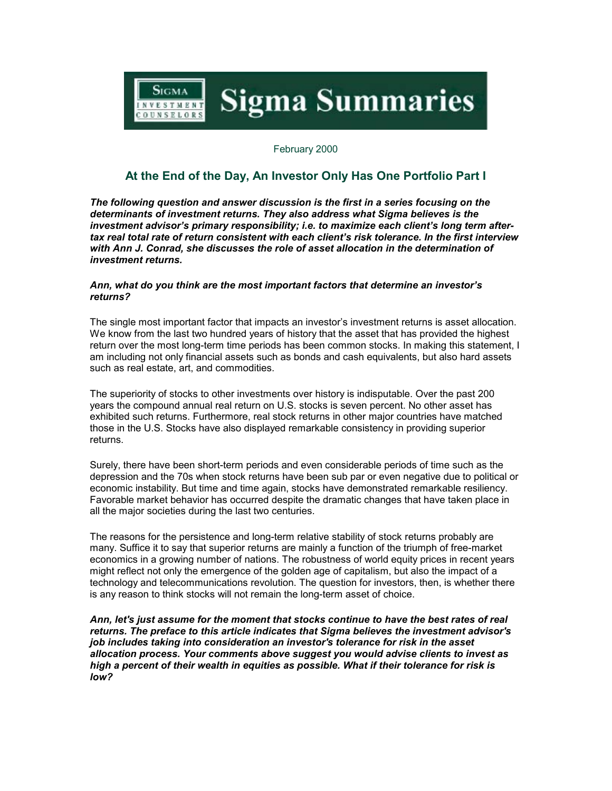

February 2000

## **At the End of the Day, An Investor Only Has One Portfolio Part I**

*The following question and answer discussion is the first in a series focusing on the determinants of investment returns. They also address what Sigma believes is the investment advisor's primary responsibility; i.e. to maximize each client's long term aftertax real total rate of return consistent with each client's risk tolerance. In the first interview with Ann J. Conrad, she discusses the role of asset allocation in the determination of investment returns.*

## *Ann, what do you think are the most important factors that determine an investor's returns?*

The single most important factor that impacts an investor's investment returns is asset allocation. We know from the last two hundred years of history that the asset that has provided the highest return over the most long-term time periods has been common stocks. In making this statement, I am including not only financial assets such as bonds and cash equivalents, but also hard assets such as real estate, art, and commodities.

The superiority of stocks to other investments over history is indisputable. Over the past 200 years the compound annual real return on U.S. stocks is seven percent. No other asset has exhibited such returns. Furthermore, real stock returns in other major countries have matched those in the U.S. Stocks have also displayed remarkable consistency in providing superior returns.

Surely, there have been short-term periods and even considerable periods of time such as the depression and the 70s when stock returns have been sub par or even negative due to political or economic instability. But time and time again, stocks have demonstrated remarkable resiliency. Favorable market behavior has occurred despite the dramatic changes that have taken place in all the major societies during the last two centuries.

The reasons for the persistence and long-term relative stability of stock returns probably are many. Suffice it to say that superior returns are mainly a function of the triumph of free-market economics in a growing number of nations. The robustness of world equity prices in recent years might reflect not only the emergence of the golden age of capitalism, but also the impact of a technology and telecommunications revolution. The question for investors, then, is whether there is any reason to think stocks will not remain the long-term asset of choice.

*Ann, let's just assume for the moment that stocks continue to have the best rates of real returns. The preface to this article indicates that Sigma believes the investment advisor's job includes taking into consideration an investor's tolerance for risk in the asset allocation process. Your comments above suggest you would advise clients to invest as high a percent of their wealth in equities as possible. What if their tolerance for risk is low?*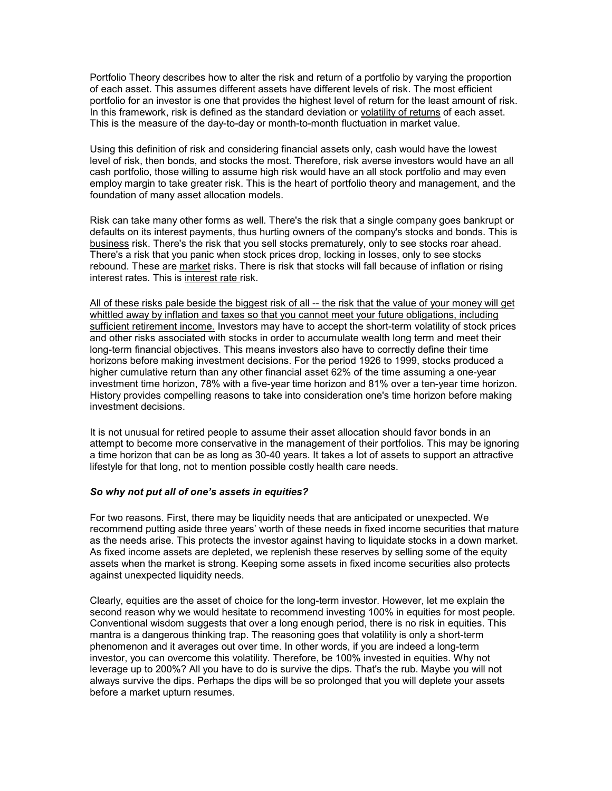Portfolio Theory describes how to alter the risk and return of a portfolio by varying the proportion of each asset. This assumes different assets have different levels of risk. The most efficient portfolio for an investor is one that provides the highest level of return for the least amount of risk. In this framework, risk is defined as the standard deviation or volatility of returns of each asset. This is the measure of the day-to-day or month-to-month fluctuation in market value.

Using this definition of risk and considering financial assets only, cash would have the lowest level of risk, then bonds, and stocks the most. Therefore, risk averse investors would have an all cash portfolio, those willing to assume high risk would have an all stock portfolio and may even employ margin to take greater risk. This is the heart of portfolio theory and management, and the foundation of many asset allocation models.

Risk can take many other forms as well. There's the risk that a single company goes bankrupt or defaults on its interest payments, thus hurting owners of the company's stocks and bonds. This is business risk. There's the risk that you sell stocks prematurely, only to see stocks roar ahead. There's a risk that you panic when stock prices drop, locking in losses, only to see stocks rebound. These are market risks. There is risk that stocks will fall because of inflation or rising interest rates. This is interest rate risk.

All of these risks pale beside the biggest risk of all -- the risk that the value of your money will get whittled away by inflation and taxes so that you cannot meet your future obligations, including sufficient retirement income. Investors may have to accept the short-term volatility of stock prices and other risks associated with stocks in order to accumulate wealth long term and meet their long-term financial objectives. This means investors also have to correctly define their time horizons before making investment decisions. For the period 1926 to 1999, stocks produced a higher cumulative return than any other financial asset 62% of the time assuming a one-year investment time horizon, 78% with a five-year time horizon and 81% over a ten-year time horizon. History provides compelling reasons to take into consideration one's time horizon before making investment decisions.

It is not unusual for retired people to assume their asset allocation should favor bonds in an attempt to become more conservative in the management of their portfolios. This may be ignoring a time horizon that can be as long as 30-40 years. It takes a lot of assets to support an attractive lifestyle for that long, not to mention possible costly health care needs.

## *So why not put all of one's assets in equities?*

For two reasons. First, there may be liquidity needs that are anticipated or unexpected. We recommend putting aside three years' worth of these needs in fixed income securities that mature as the needs arise. This protects the investor against having to liquidate stocks in a down market. As fixed income assets are depleted, we replenish these reserves by selling some of the equity assets when the market is strong. Keeping some assets in fixed income securities also protects against unexpected liquidity needs.

Clearly, equities are the asset of choice for the long-term investor. However, let me explain the second reason why we would hesitate to recommend investing 100% in equities for most people. Conventional wisdom suggests that over a long enough period, there is no risk in equities. This mantra is a dangerous thinking trap. The reasoning goes that volatility is only a short-term phenomenon and it averages out over time. In other words, if you are indeed a long-term investor, you can overcome this volatility. Therefore, be 100% invested in equities. Why not leverage up to 200%? All you have to do is survive the dips. That's the rub. Maybe you will not always survive the dips. Perhaps the dips will be so prolonged that you will deplete your assets before a market upturn resumes.